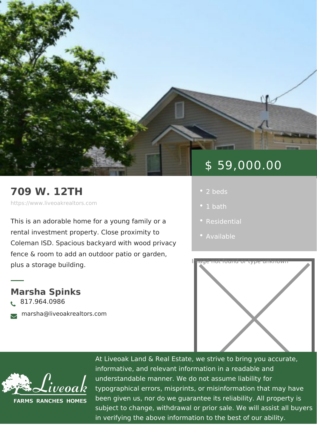## 709 W. 12TH

https://www.liveoakrealtors.com

This is an adorable home for a young fa rental investment property. Close proxi Coleman ISD. Spacious backyard with w fence & room to add an outdoor patio or garden, plus a storage building.

Marsha Spinks ð• 817.964.0986 <sub>ðà</sub> marsha@liveoakrealtors.com

# \$ 59,000.00

- 
- 
- 
- [Availa](https://www.liveoakrealtors.com/es_status/available/)ble



At Liveoak Land & Real Estate, we strive to brin informative, and relevant information in a reada understandable manner. We do not assume liabil typographical errors, misprints, or misinformatic been given us, nor do we guarantee its reliabilit subject to change, withdrawal or prior sale. We in verifying the above information to the best of